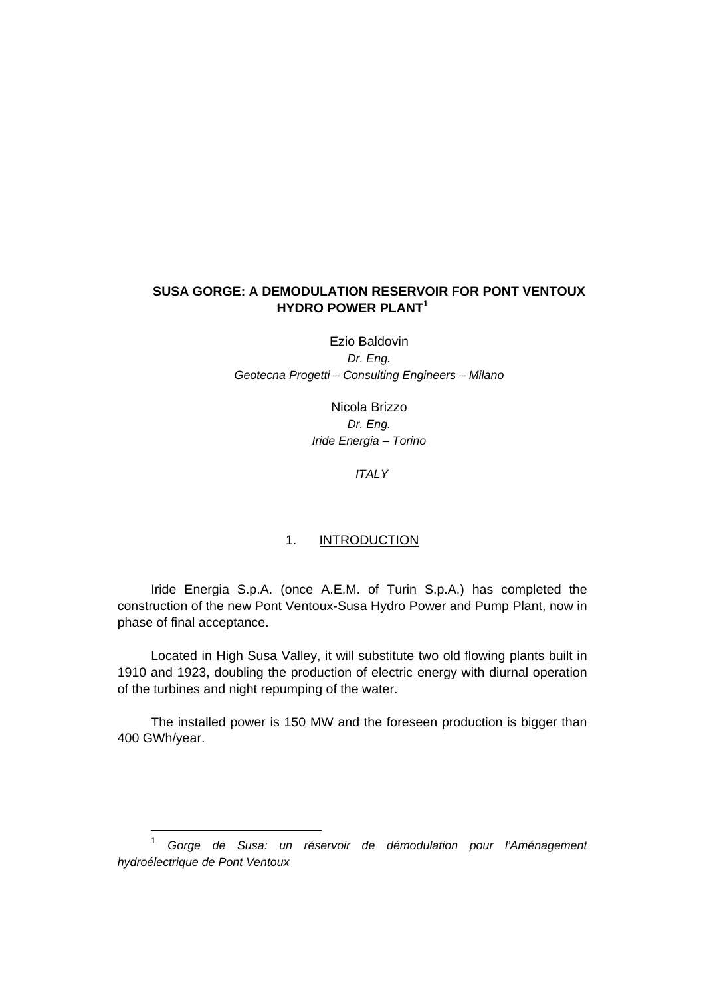## **SUSA GORGE: A DEMODULATION RESERVOIR FOR PONT VENTOUX HYDRO POWER PLANT<sup>1</sup>**

Ezio Baldovin *Dr. Eng. Geotecna Progetti – Consulting Engineers – Milano* 

> Nicola Brizzo *Dr. Eng. Iride Energia – Torino*

> > *ITALY*

## 1. INTRODUCTION

Iride Energia S.p.A. (once A.E.M. of Turin S.p.A.) has completed the construction of the new Pont Ventoux-Susa Hydro Power and Pump Plant, now in phase of final acceptance.

Located in High Susa Valley, it will substitute two old flowing plants built in 1910 and 1923, doubling the production of electric energy with diurnal operation of the turbines and night repumping of the water.

The installed power is 150 MW and the foreseen production is bigger than 400 GWh/year.

<sup>1</sup> *Gorge de Susa: un réservoir de démodulation pour l'Aménagement hydroélectrique de Pont Ventoux*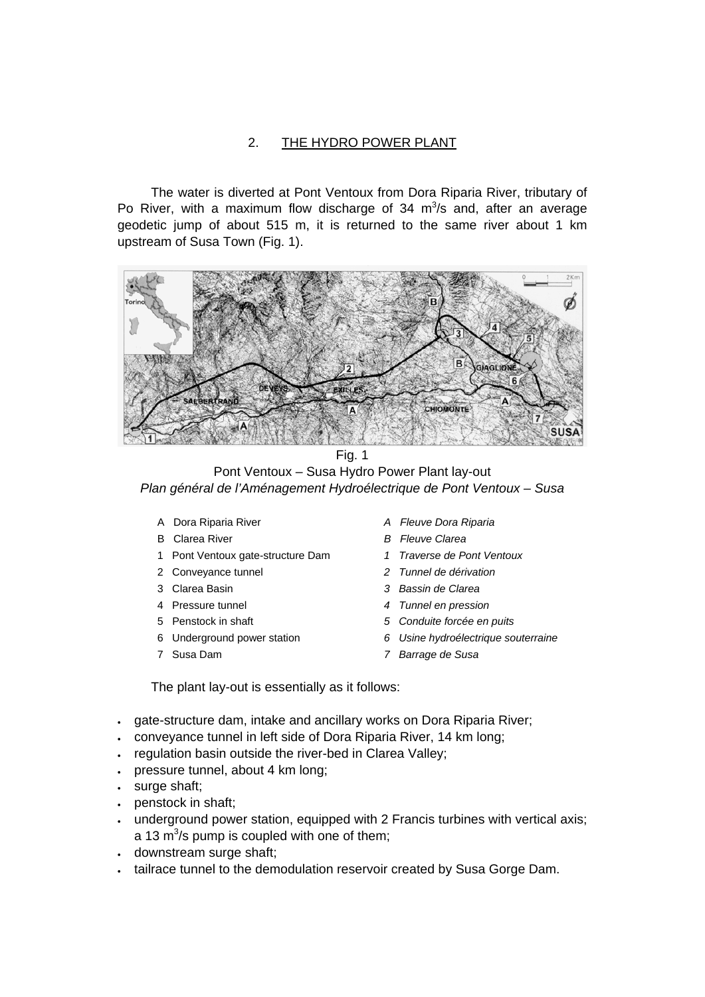## 2. THE HYDRO POWER PLANT

The water is diverted at Pont Ventoux from Dora Riparia River, tributary of Po River, with a maximum flow discharge of 34  $m<sup>3</sup>/s$  and, after an average geodetic jump of about 515 m, it is returned to the same river about 1 km upstream of Susa Town (Fig. 1).



Fig. 1 Pont Ventoux – Susa Hydro Power Plant lay-out *Plan général de l'Aménagement Hydroélectrique de Pont Ventoux – Susa* 

- 
- 
- 1 Pont Ventoux gate-structure Dam *1 Traverse de Pont Ventoux*
- 
- 
- 
- 
- 
- 
- A Dora Riparia River *A Fleuve Dora Riparia*
- B Clarea River *B Fleuve Clarea* 
	-
- 2 Conveyance tunnel *2 Tunnel de dérivation*
- 3 Clarea Basin *3 Bassin de Clarea*
- 4 Pressure tunnel *4 Tunnel en pression*
- 5 Penstock in shaft *5 Conduite forcée en puits*
- 6 Underground power station *6 Usine hydroélectrique souterraine*
- 7 Susa Dam *7 Barrage de Susa*

The plant lay-out is essentially as it follows:

- gate-structure dam, intake and ancillary works on Dora Riparia River;
- conveyance tunnel in left side of Dora Riparia River, 14 km long;
- regulation basin outside the river-bed in Clarea Valley;
- pressure tunnel, about 4 km long;
- surge shaft;
- penstock in shaft;
- underground power station, equipped with 2 Francis turbines with vertical axis; a 13 m<sup>3</sup>/s pump is coupled with one of them;
- downstream surge shaft;
- tailrace tunnel to the demodulation reservoir created by Susa Gorge Dam.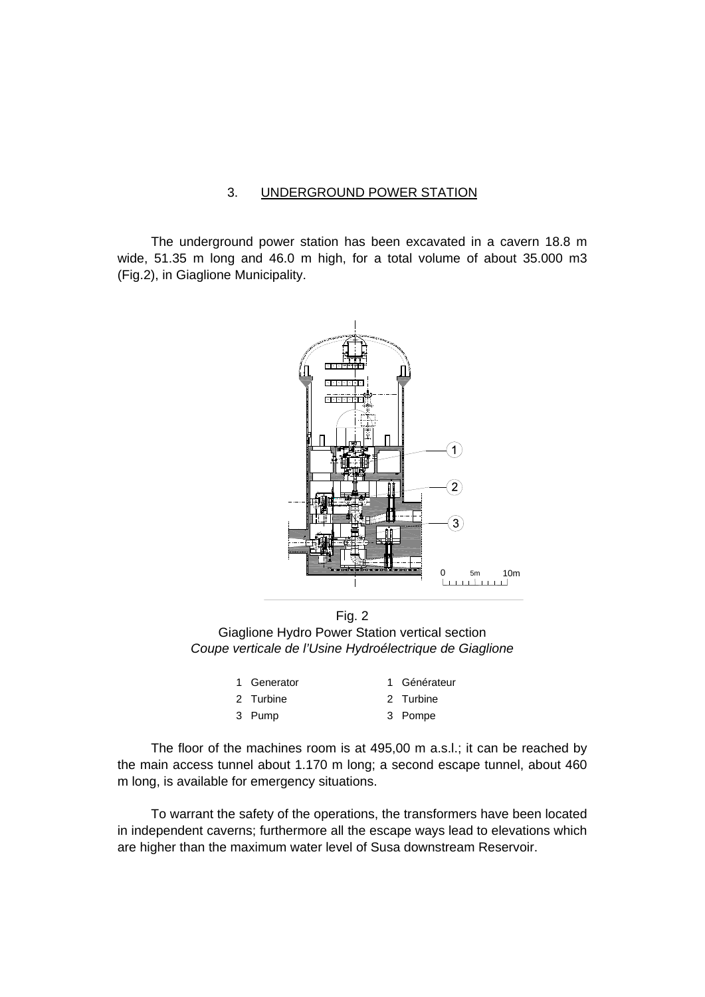#### 3. UNDERGROUND POWER STATION

The underground power station has been excavated in a cavern 18.8 m wide, 51.35 m long and 46.0 m high, for a total volume of about 35.000 m3 (Fig.2), in Giaglione Municipality.



Fig. 2 Giaglione Hydro Power Station vertical section *Coupe verticale de l'Usine Hydroélectrique de Giaglione* 

| 1 Generator | 1 Générateur |
|-------------|--------------|
| 2 Turbine   | 2 Turbine    |
| 3 Pump      | 3 Pompe      |

The floor of the machines room is at 495,00 m a.s.l.; it can be reached by the main access tunnel about 1.170 m long; a second escape tunnel, about 460 m long, is available for emergency situations.

To warrant the safety of the operations, the transformers have been located in independent caverns; furthermore all the escape ways lead to elevations which are higher than the maximum water level of Susa downstream Reservoir.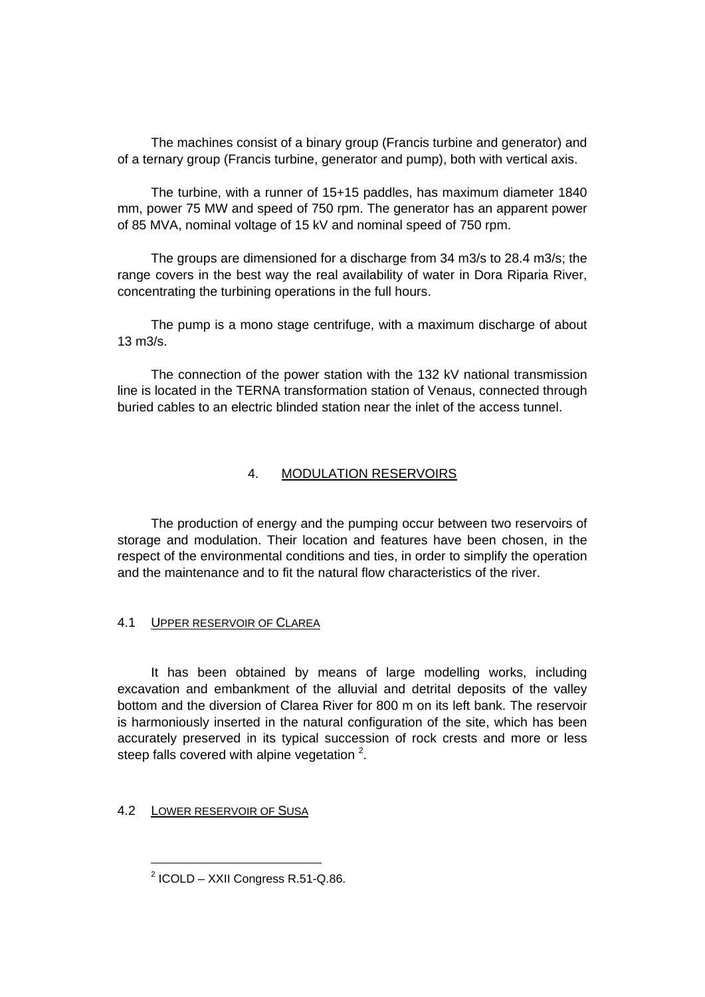The machines consist of a binary group (Francis turbine and generator) and of a ternary group (Francis turbine, generator and pump), both with vertical axis.

The turbine, with a runner of 15+15 paddles, has maximum diameter 1840 mm, power 75 MW and speed of 750 rpm. The generator has an apparent power of 85 MVA, nominal voltage of 15 kV and nominal speed of 750 rpm.

The groups are dimensioned for a discharge from 34 m3/s to 28.4 m3/s; the range covers in the best way the real availability of water in Dora Riparia River, concentrating the turbining operations in the full hours.

The pump is a mono stage centrifuge, with a maximum discharge of about 13 m3/s.

The connection of the power station with the 132 kV national transmission line is located in the TERNA transformation station of Venaus, connected through buried cables to an electric blinded station near the inlet of the access tunnel.

## 4. MODULATION RESERVOIRS

The production of energy and the pumping occur between two reservoirs of storage and modulation. Their location and features have been chosen, in the respect of the environmental conditions and ties, in order to simplify the operation and the maintenance and to fit the natural flow characteristics of the river.

## 4.1 UPPER RESERVOIR OF CLAREA

It has been obtained by means of large modelling works, including excavation and embankment of the alluvial and detrital deposits of the valley bottom and the diversion of Clarea River for 800 m on its left bank. The reservoir is harmoniously inserted in the natural configuration of the site, which has been accurately preserved in its typical succession of rock crests and more or less steep falls covered with alpine vegetation  $2$ .

## 4.2 LOWER RESERVOIR OF SUSA

 $2$  ICOLD – XXII Congress R.51-Q.86.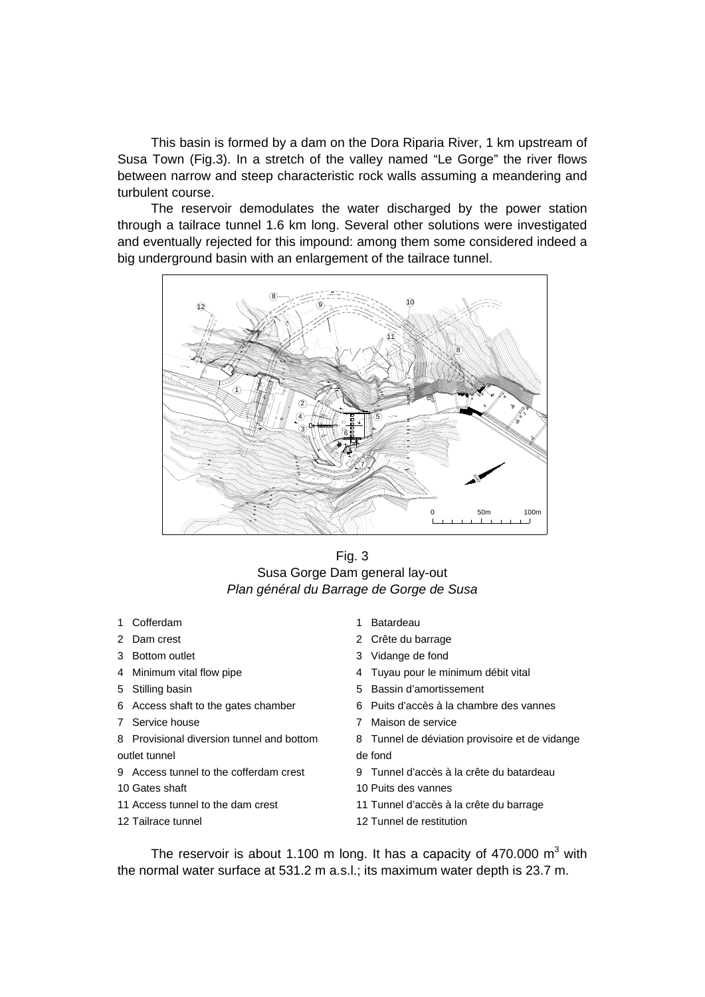This basin is formed by a dam on the Dora Riparia River, 1 km upstream of Susa Town (Fig.3). In a stretch of the valley named "Le Gorge" the river flows between narrow and steep characteristic rock walls assuming a meandering and turbulent course.

The reservoir demodulates the water discharged by the power station through a tailrace tunnel 1.6 km long. Several other solutions were investigated and eventually rejected for this impound: among them some considered indeed a big underground basin with an enlargement of the tailrace tunnel.



Fig. 3 Susa Gorge Dam general lay-out *Plan général du Barrage de Gorge de Susa* 

- 1 Cofferdam 1 Batardeau
- 
- 
- 
- 
- 
- 
- 8 Provisional diversion tunnel and bottom outlet tunnel
- 
- 
- 
- 
- 
- 2 Dam crest 2 Crête du barrage
- 3 Bottom outlet 3 Vidange de fond
- 4 Minimum vital flow pipe  $\frac{4 + 4}{4}$  Tuyau pour le minimum débit vital
- 5 Stilling basin 5 Bassin d'amortissement
- 6 Access shaft to the gates chamber 6 Puits d'accès à la chambre des vannes
- 7 Service house 7 Maison de service
	- 8 Tunnel de déviation provisoire et de vidange de fond
- 9 Access tunnel to the cofferdam crest 9 Tunnel d'accès à la crête du batardeau
- 10 Gates shaft 10 Puits des vannes
- 11 Access tunnel to the dam crest 11 Tunnel d'accès à la crête du barrage
- 12 Tailrace tunnel 12 Tunnel de restitution

The reservoir is about 1.100 m long. It has a capacity of 470.000  $m^3$  with the normal water surface at 531.2 m a.s.l.; its maximum water depth is 23.7 m.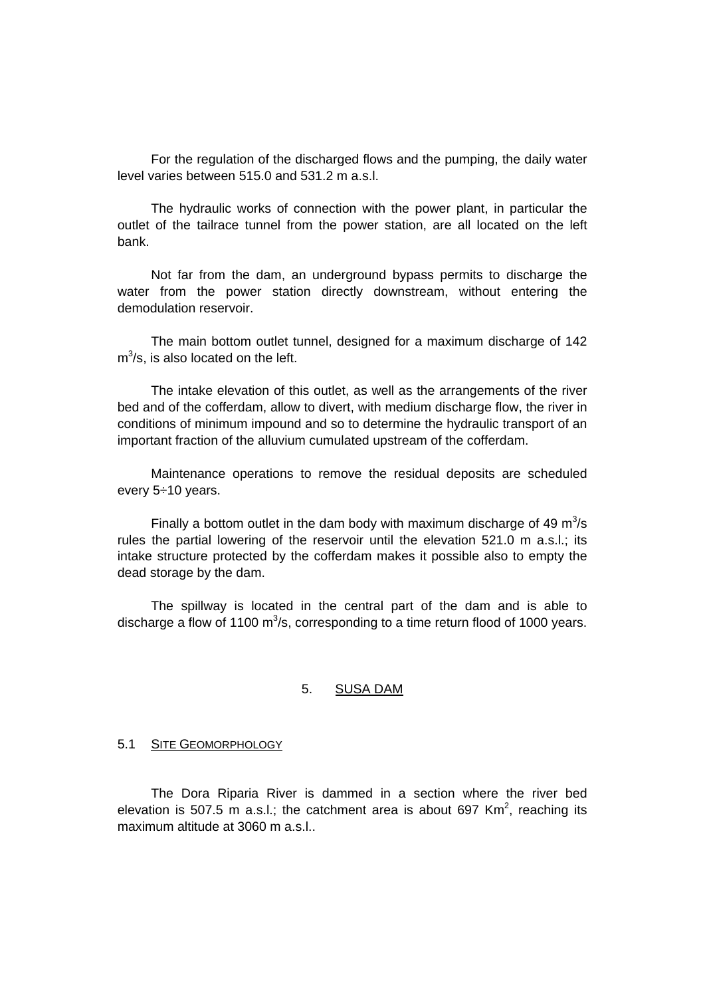For the regulation of the discharged flows and the pumping, the daily water level varies between 515.0 and 531.2 m a.s.l.

The hydraulic works of connection with the power plant, in particular the outlet of the tailrace tunnel from the power station, are all located on the left bank.

Not far from the dam, an underground bypass permits to discharge the water from the power station directly downstream, without entering the demodulation reservoir.

The main bottom outlet tunnel, designed for a maximum discharge of 142  $m<sup>3</sup>/s$ , is also located on the left.

The intake elevation of this outlet, as well as the arrangements of the river bed and of the cofferdam, allow to divert, with medium discharge flow, the river in conditions of minimum impound and so to determine the hydraulic transport of an important fraction of the alluvium cumulated upstream of the cofferdam.

Maintenance operations to remove the residual deposits are scheduled every 5÷10 years.

Finally a bottom outlet in the dam body with maximum discharge of 49  $m^3/s$ rules the partial lowering of the reservoir until the elevation 521.0 m a.s.l.; its intake structure protected by the cofferdam makes it possible also to empty the dead storage by the dam.

The spillway is located in the central part of the dam and is able to discharge a flow of 1100  $\text{m}^3$ /s, corresponding to a time return flood of 1000 years.

#### 5. SUSA DAM

#### 5.1 SITE GEOMORPHOLOGY

The Dora Riparia River is dammed in a section where the river bed elevation is 507.5 m a.s.l.; the catchment area is about 697 Km<sup>2</sup>, reaching its maximum altitude at 3060 m a.s.l..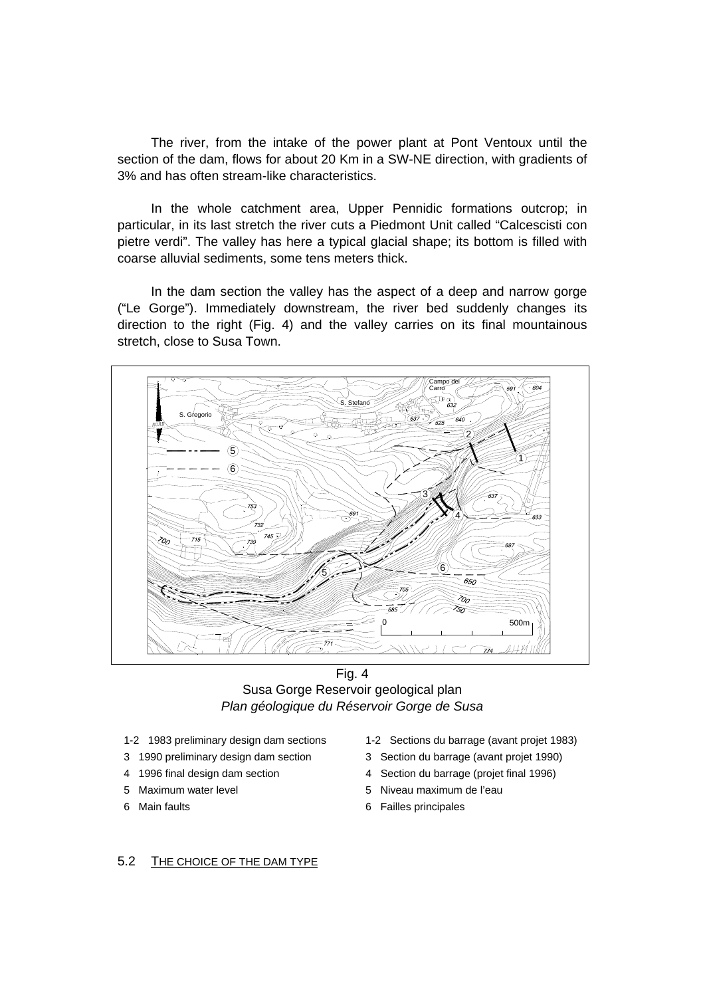The river, from the intake of the power plant at Pont Ventoux until the section of the dam, flows for about 20 Km in a SW-NE direction, with gradients of 3% and has often stream-like characteristics.

In the whole catchment area, Upper Pennidic formations outcrop; in particular, in its last stretch the river cuts a Piedmont Unit called "Calcescisti con pietre verdi". The valley has here a typical glacial shape; its bottom is filled with coarse alluvial sediments, some tens meters thick.

In the dam section the valley has the aspect of a deep and narrow gorge ("Le Gorge"). Immediately downstream, the river bed suddenly changes its direction to the right (Fig. 4) and the valley carries on its final mountainous stretch, close to Susa Town.



Fig. 4 Susa Gorge Reservoir geological plan *Plan géologique du Réservoir Gorge de Susa* 

- 
- 
- 
- 
- 
- 1-2 1983 preliminary design dam sections 1-2 Sections du barrage (avant projet 1983)
- 3 1990 preliminary design dam section 3 Section du barrage (avant projet 1990)
- 4 1996 final design dam section 4 Section du barrage (projet final 1996)
- 5 Maximum water level 5 Niveau maximum de l'eau
- 6 Main faults 6 Failles principales

## 5.2 THE CHOICE OF THE DAM TYPE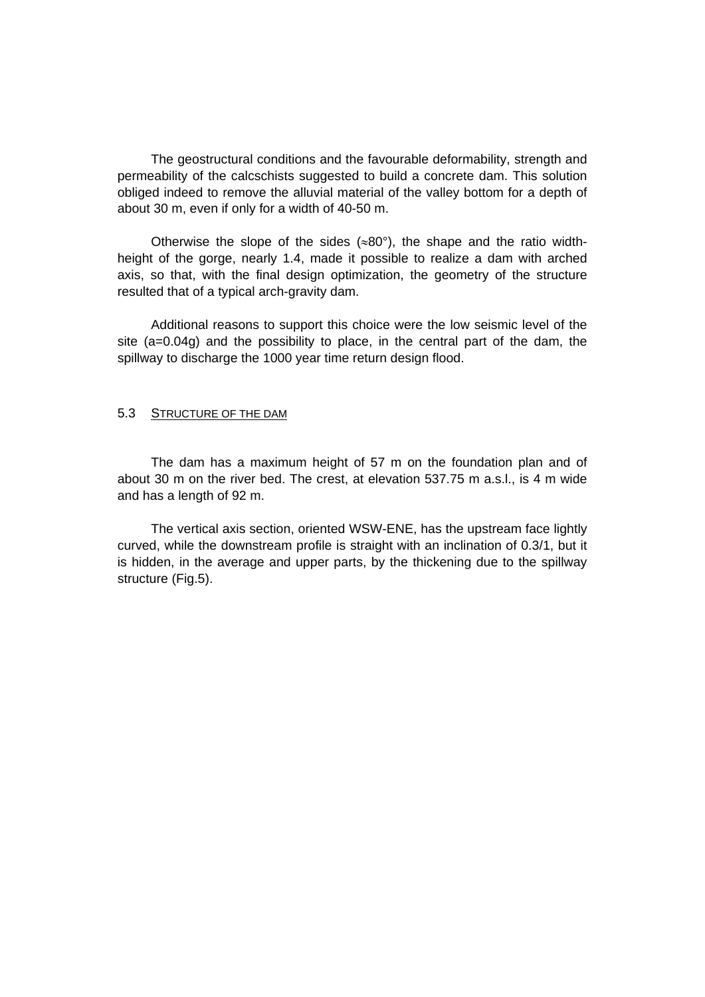The geostructural conditions and the favourable deformability, strength and permeability of the calcschists suggested to build a concrete dam. This solution obliged indeed to remove the alluvial material of the valley bottom for a depth of about 30 m, even if only for a width of 40-50 m.

Otherwise the slope of the sides ( $\approx 80^{\circ}$ ), the shape and the ratio widthheight of the gorge, nearly 1.4, made it possible to realize a dam with arched axis, so that, with the final design optimization, the geometry of the structure resulted that of a typical arch-gravity dam.

Additional reasons to support this choice were the low seismic level of the site (a=0.04g) and the possibility to place, in the central part of the dam, the spillway to discharge the 1000 year time return design flood.

### 5.3 STRUCTURE OF THE DAM

The dam has a maximum height of 57 m on the foundation plan and of about 30 m on the river bed. The crest, at elevation 537.75 m a.s.l., is 4 m wide and has a length of 92 m.

The vertical axis section, oriented WSW-ENE, has the upstream face lightly curved, while the downstream profile is straight with an inclination of 0.3/1, but it is hidden, in the average and upper parts, by the thickening due to the spillway structure (Fig.5).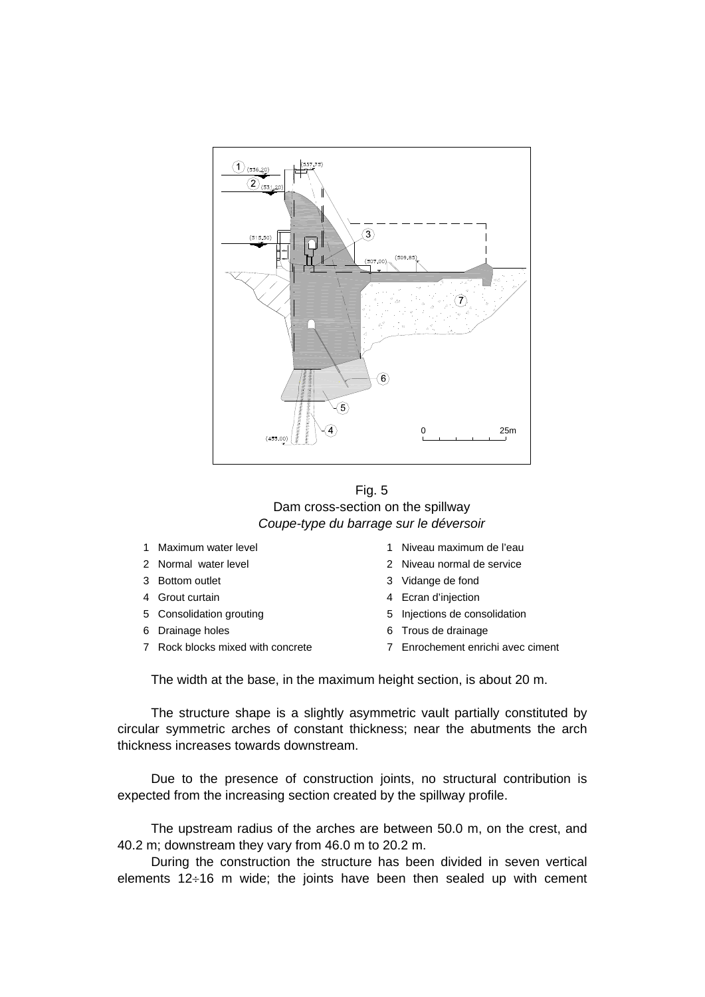

Fig. 5 Dam cross-section on the spillway *Coupe-type du barrage sur le déversoir* 

- 
- 
- 3 Bottom outlet 3 Vidange de fond
- 
- 5 Consolidation grouting 5 Injections de consolidation
- 
- 
- 1 Maximum water level 1 Niveau maximum de l'eau
- 2 Normal water level 2 Niveau normal de service
	-
- 4 Grout curtain **4 Communister 1 August** 4 Ecran d'injection
	-
- 6 Drainage holes 6 Trous de drainage
- 7 Rock blocks mixed with concrete 7 Enrochement enrichi avec ciment

The width at the base, in the maximum height section, is about 20 m.

The structure shape is a slightly asymmetric vault partially constituted by circular symmetric arches of constant thickness; near the abutments the arch thickness increases towards downstream.

Due to the presence of construction joints, no structural contribution is expected from the increasing section created by the spillway profile.

The upstream radius of the arches are between 50.0 m, on the crest, and 40.2 m; downstream they vary from 46.0 m to 20.2 m.

During the construction the structure has been divided in seven vertical elements 12÷16 m wide; the joints have been then sealed up with cement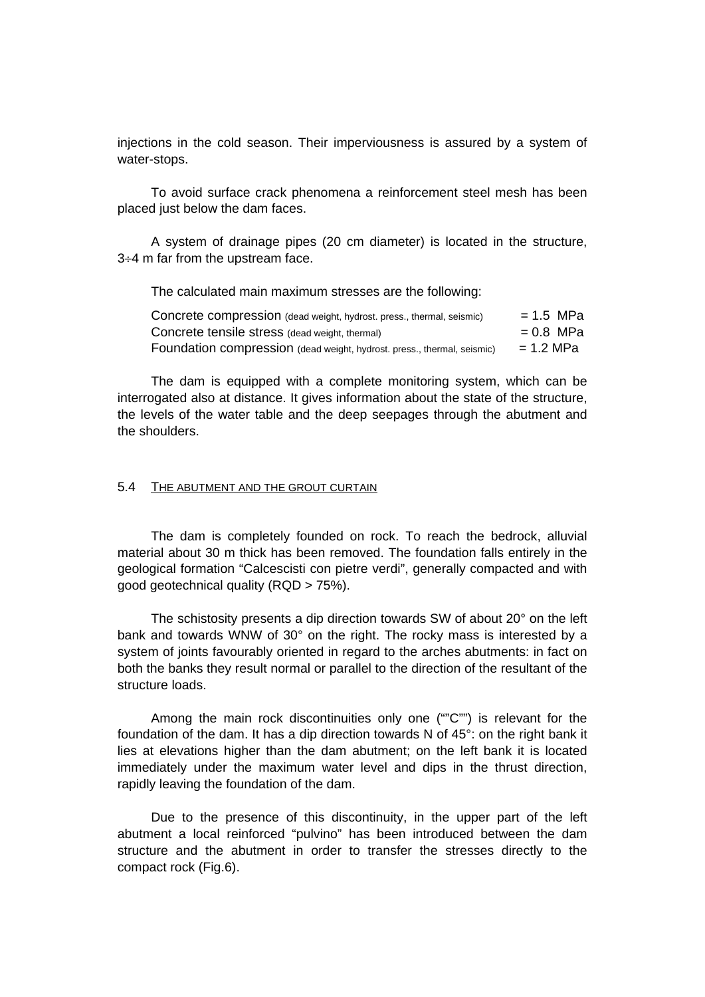injections in the cold season. Their imperviousness is assured by a system of water-stops.

To avoid surface crack phenomena a reinforcement steel mesh has been placed just below the dam faces.

A system of drainage pipes (20 cm diameter) is located in the structure, 3÷4 m far from the upstream face.

The calculated main maximum stresses are the following:

| Concrete compression (dead weight, hydrost. press., thermal, seismic)   | $= 1.5$ MPa |
|-------------------------------------------------------------------------|-------------|
| Concrete tensile stress (dead weight, thermal)                          | $= 0.8$ MPa |
| Foundation compression (dead weight, hydrost. press., thermal, seismic) | = 1.2 MPa   |

The dam is equipped with a complete monitoring system, which can be interrogated also at distance. It gives information about the state of the structure, the levels of the water table and the deep seepages through the abutment and the shoulders.

### 5.4 THE ABUTMENT AND THE GROUT CURTAIN

The dam is completely founded on rock. To reach the bedrock, alluvial material about 30 m thick has been removed. The foundation falls entirely in the geological formation "Calcescisti con pietre verdi", generally compacted and with good geotechnical quality (RQD > 75%).

The schistosity presents a dip direction towards SW of about 20° on the left bank and towards WNW of 30° on the right. The rocky mass is interested by a system of joints favourably oriented in regard to the arches abutments: in fact on both the banks they result normal or parallel to the direction of the resultant of the structure loads.

Among the main rock discontinuities only one (""C"") is relevant for the foundation of the dam. It has a dip direction towards N of 45°: on the right bank it lies at elevations higher than the dam abutment; on the left bank it is located immediately under the maximum water level and dips in the thrust direction, rapidly leaving the foundation of the dam.

Due to the presence of this discontinuity, in the upper part of the left abutment a local reinforced "pulvino" has been introduced between the dam structure and the abutment in order to transfer the stresses directly to the compact rock (Fig.6).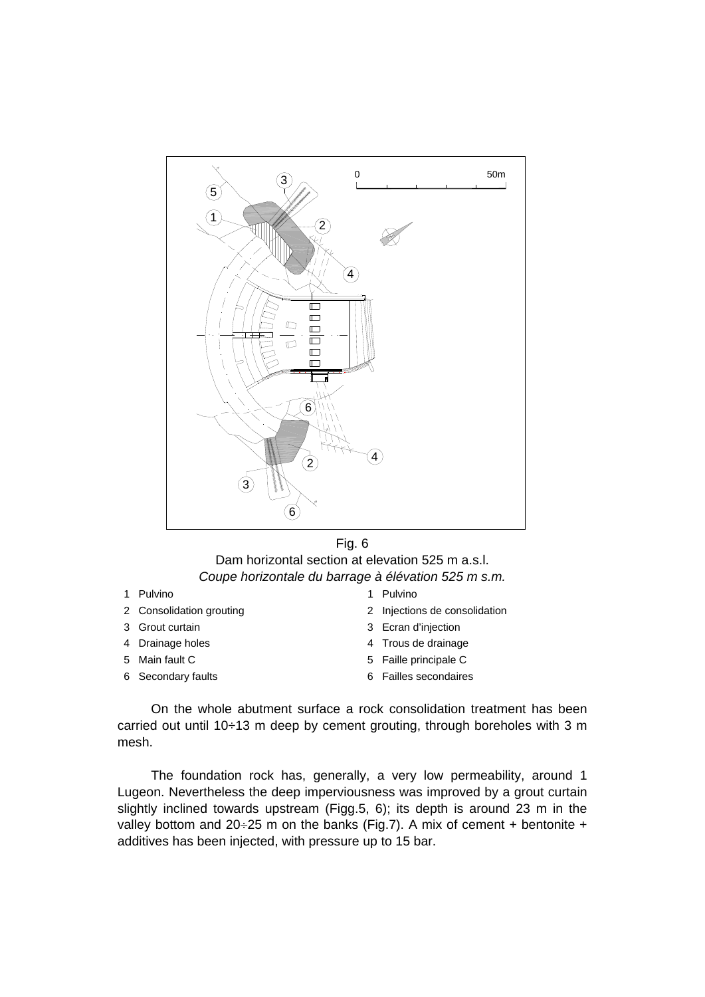

#### Fig. 6

# Dam horizontal section at elevation 525 m a.s.l. *Coupe horizontale du barrage à élévation 525 m s.m.*

- 
- 
- 
- 
- 
- 
- 1 Pulvino 1 Pulvino
- 2 Consolidation grouting 2 Injections de consolidation
- 3 Grout curtain 3 Ecran d'injection
- 4 Drainage holes 4 Trous de drainage
- 5 Main fault C 6 1 1 2 3 Taille principale C
- 6 Secondary faults 6 Failles secondaires

On the whole abutment surface a rock consolidation treatment has been carried out until 10÷13 m deep by cement grouting, through boreholes with 3 m mesh.

The foundation rock has, generally, a very low permeability, around 1 Lugeon. Nevertheless the deep imperviousness was improved by a grout curtain slightly inclined towards upstream (Figg.5, 6); its depth is around 23 m in the valley bottom and  $20\div 25$  m on the banks (Fig.7). A mix of cement + bentonite + additives has been injected, with pressure up to 15 bar.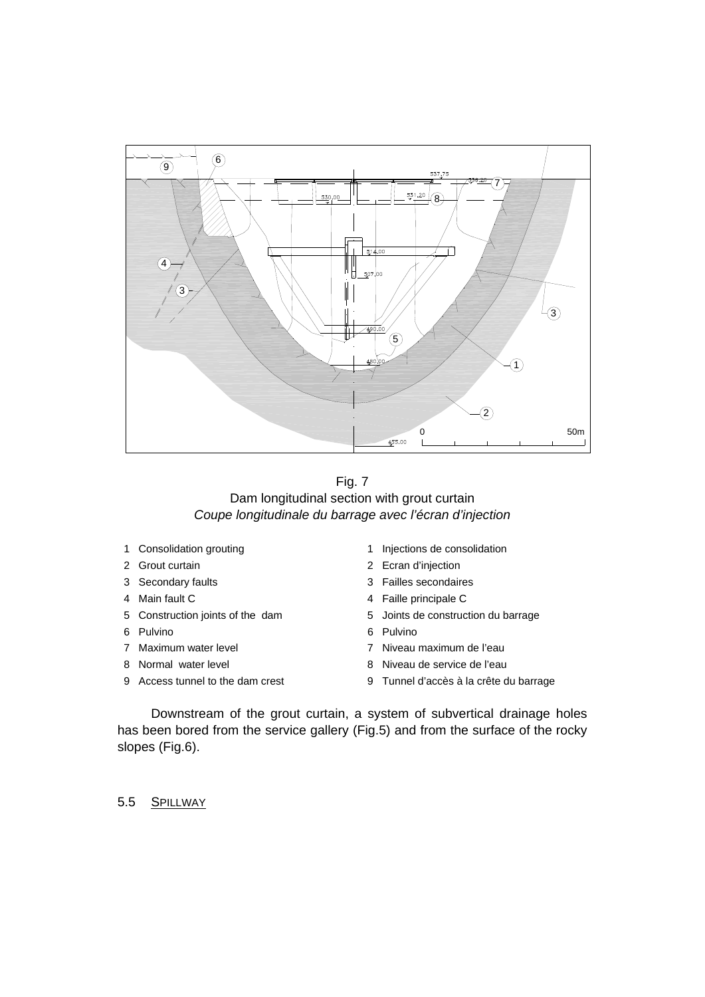

Fig. 7 Dam longitudinal section with grout curtain *Coupe longitudinale du barrage avec l'écran d'injection* 

- 
- 
- 
- 
- 
- 
- 
- 
- 
- 1 Consolidation grouting 1 1 Injections de consolidation
- 2 Grout curtain 2 Ecran d'injection
- 3 Secondary faults 3 Failles secondaires
- 4 Main fault C 4 Faille principale C
- 5 Construction joints of the dam 5 Joints de construction du barrage
- 6 Pulvino 6 Pulvino
- 7 Maximum water level 7 Niveau maximum de l'eau
- 8 Normal water level  $\overline{8}$  Niveau de service de l'eau
- 9 Access tunnel to the dam crest 9 Tunnel d'accès à la crête du barrage

Downstream of the grout curtain, a system of subvertical drainage holes has been bored from the service gallery (Fig.5) and from the surface of the rocky slopes (Fig.6).

5.5 SPILLWAY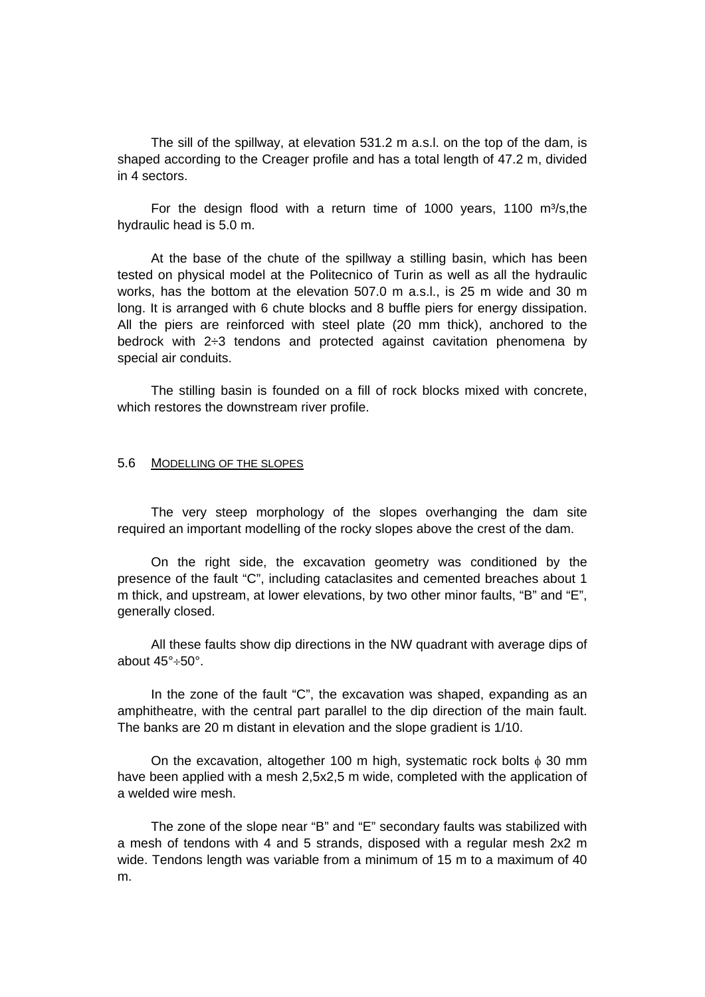The sill of the spillway, at elevation 531.2 m a.s.l. on the top of the dam, is shaped according to the Creager profile and has a total length of 47.2 m, divided in 4 sectors.

For the design flood with a return time of 1000 years, 1100  $m^3/s$ , the hydraulic head is 5.0 m.

At the base of the chute of the spillway a stilling basin, which has been tested on physical model at the Politecnico of Turin as well as all the hydraulic works, has the bottom at the elevation 507.0 m a.s.l., is 25 m wide and 30 m long. It is arranged with 6 chute blocks and 8 buffle piers for energy dissipation. All the piers are reinforced with steel plate (20 mm thick), anchored to the bedrock with 2÷3 tendons and protected against cavitation phenomena by special air conduits.

The stilling basin is founded on a fill of rock blocks mixed with concrete, which restores the downstream river profile.

#### 5.6 MODELLING OF THE SLOPES

The very steep morphology of the slopes overhanging the dam site required an important modelling of the rocky slopes above the crest of the dam.

On the right side, the excavation geometry was conditioned by the presence of the fault "C", including cataclasites and cemented breaches about 1 m thick, and upstream, at lower elevations, by two other minor faults, "B" and "E", generally closed.

All these faults show dip directions in the NW quadrant with average dips of about 45°÷50°.

In the zone of the fault "C", the excavation was shaped, expanding as an amphitheatre, with the central part parallel to the dip direction of the main fault. The banks are 20 m distant in elevation and the slope gradient is 1/10.

On the excavation, altogether 100 m high, systematic rock bolts  $\phi$  30 mm have been applied with a mesh 2,5x2,5 m wide, completed with the application of a welded wire mesh.

The zone of the slope near "B" and "E" secondary faults was stabilized with a mesh of tendons with 4 and 5 strands, disposed with a regular mesh 2x2 m wide. Tendons length was variable from a minimum of 15 m to a maximum of 40 m.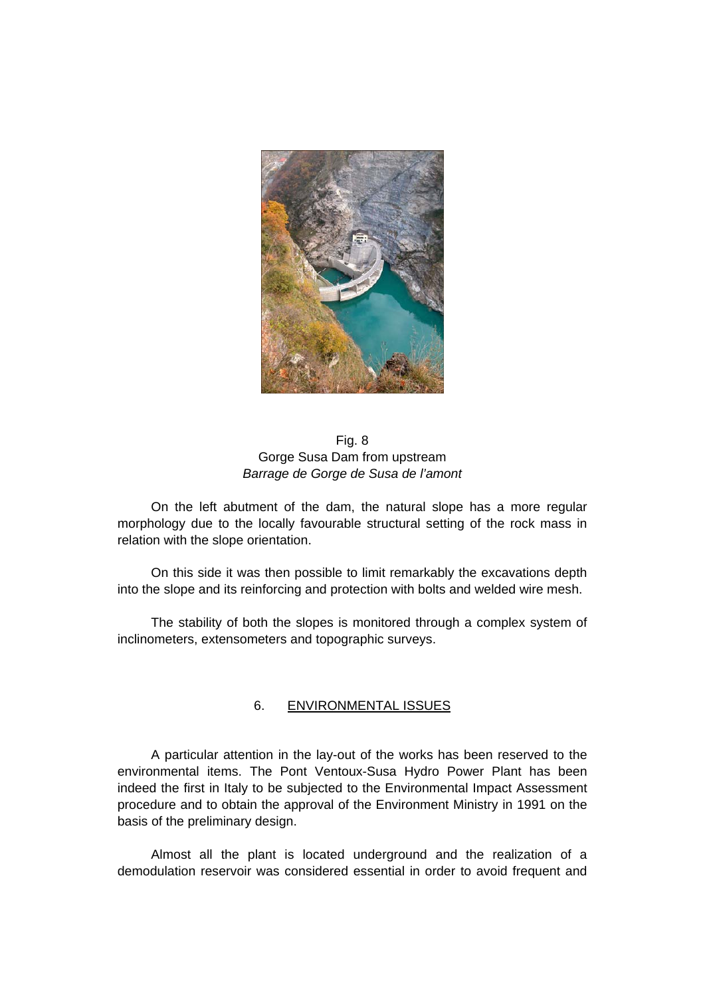

Fig. 8 Gorge Susa Dam from upstream *Barrage de Gorge de Susa de l'amont* 

On the left abutment of the dam, the natural slope has a more regular morphology due to the locally favourable structural setting of the rock mass in relation with the slope orientation.

On this side it was then possible to limit remarkably the excavations depth into the slope and its reinforcing and protection with bolts and welded wire mesh.

The stability of both the slopes is monitored through a complex system of inclinometers, extensometers and topographic surveys.

### 6. ENVIRONMENTAL ISSUES

A particular attention in the lay-out of the works has been reserved to the environmental items. The Pont Ventoux-Susa Hydro Power Plant has been indeed the first in Italy to be subjected to the Environmental Impact Assessment procedure and to obtain the approval of the Environment Ministry in 1991 on the basis of the preliminary design.

Almost all the plant is located underground and the realization of a demodulation reservoir was considered essential in order to avoid frequent and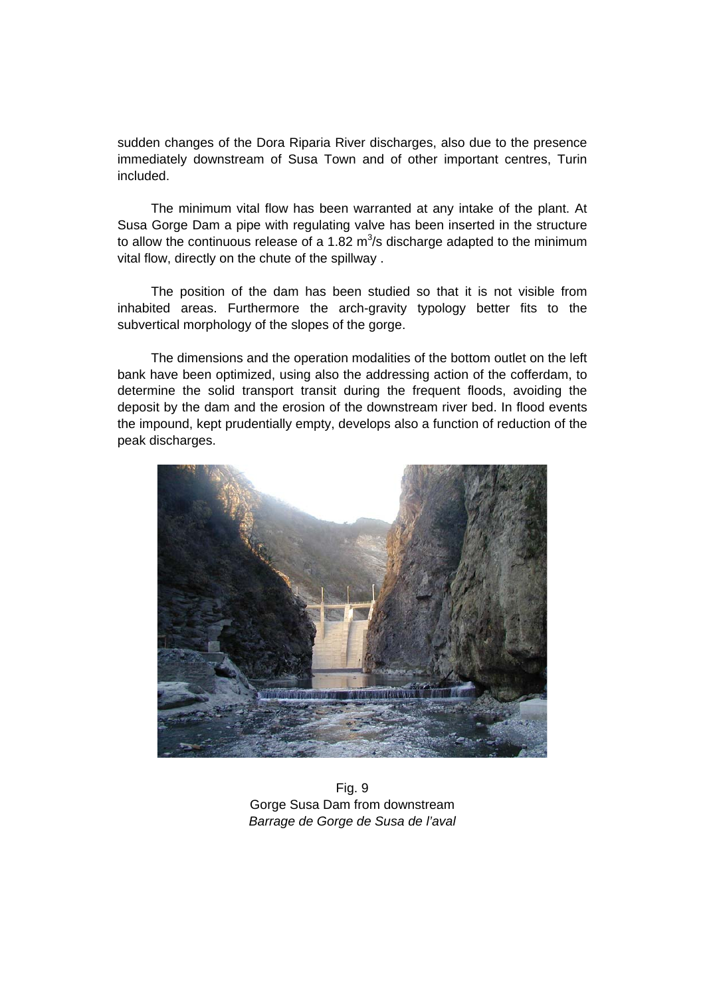sudden changes of the Dora Riparia River discharges, also due to the presence immediately downstream of Susa Town and of other important centres, Turin included.

The minimum vital flow has been warranted at any intake of the plant. At Susa Gorge Dam a pipe with regulating valve has been inserted in the structure to allow the continuous release of a 1.82  $m^3/s$  discharge adapted to the minimum vital flow, directly on the chute of the spillway .

The position of the dam has been studied so that it is not visible from inhabited areas. Furthermore the arch-gravity typology better fits to the subvertical morphology of the slopes of the gorge.

The dimensions and the operation modalities of the bottom outlet on the left bank have been optimized, using also the addressing action of the cofferdam, to determine the solid transport transit during the frequent floods, avoiding the deposit by the dam and the erosion of the downstream river bed. In flood events the impound, kept prudentially empty, develops also a function of reduction of the peak discharges.



Fig. 9 Gorge Susa Dam from downstream *Barrage de Gorge de Susa de l'aval*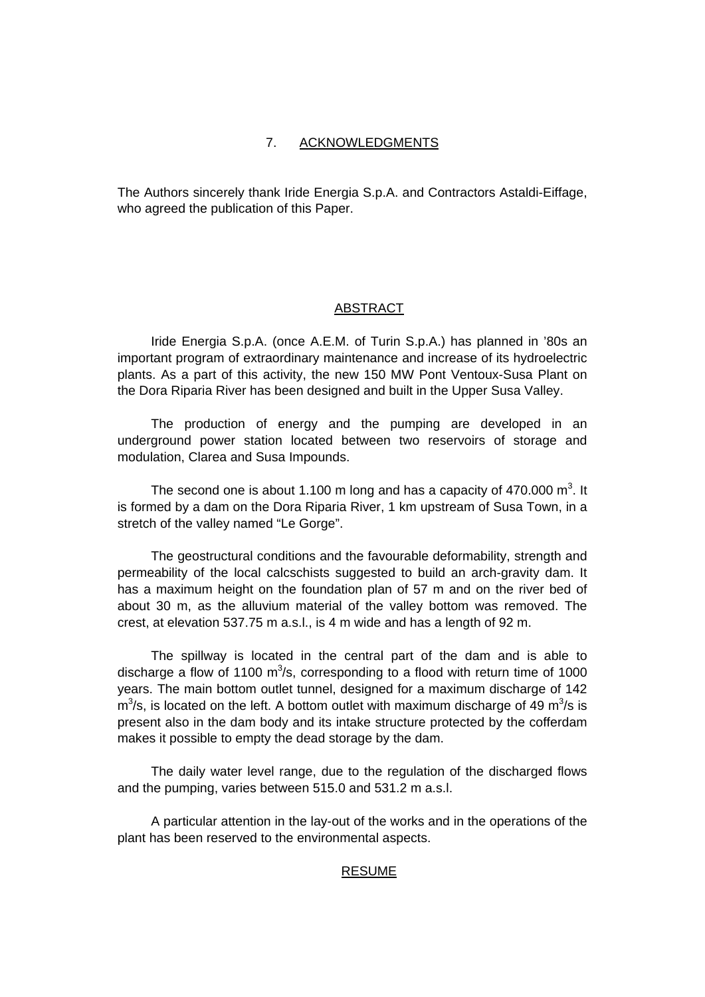### 7. ACKNOWLEDGMENTS

The Authors sincerely thank Iride Energia S.p.A. and Contractors Astaldi-Eiffage, who agreed the publication of this Paper.

#### ABSTRACT

Iride Energia S.p.A. (once A.E.M. of Turin S.p.A.) has planned in '80s an important program of extraordinary maintenance and increase of its hydroelectric plants. As a part of this activity, the new 150 MW Pont Ventoux-Susa Plant on the Dora Riparia River has been designed and built in the Upper Susa Valley.

The production of energy and the pumping are developed in an underground power station located between two reservoirs of storage and modulation, Clarea and Susa Impounds.

The second one is about 1.100 m long and has a capacity of 470.000 m<sup>3</sup>. It is formed by a dam on the Dora Riparia River, 1 km upstream of Susa Town, in a stretch of the valley named "Le Gorge".

The geostructural conditions and the favourable deformability, strength and permeability of the local calcschists suggested to build an arch-gravity dam. It has a maximum height on the foundation plan of 57 m and on the river bed of about 30 m, as the alluvium material of the valley bottom was removed. The crest, at elevation 537.75 m a.s.l., is 4 m wide and has a length of 92 m.

The spillway is located in the central part of the dam and is able to discharge a flow of 1100  $m^3/s$ , corresponding to a flood with return time of 1000 years. The main bottom outlet tunnel, designed for a maximum discharge of 142  $m<sup>3</sup>/s$ , is located on the left. A bottom outlet with maximum discharge of 49 m<sup>3</sup>/s is present also in the dam body and its intake structure protected by the cofferdam makes it possible to empty the dead storage by the dam.

The daily water level range, due to the regulation of the discharged flows and the pumping, varies between 515.0 and 531.2 m a.s.l.

A particular attention in the lay-out of the works and in the operations of the plant has been reserved to the environmental aspects.

#### RESUME